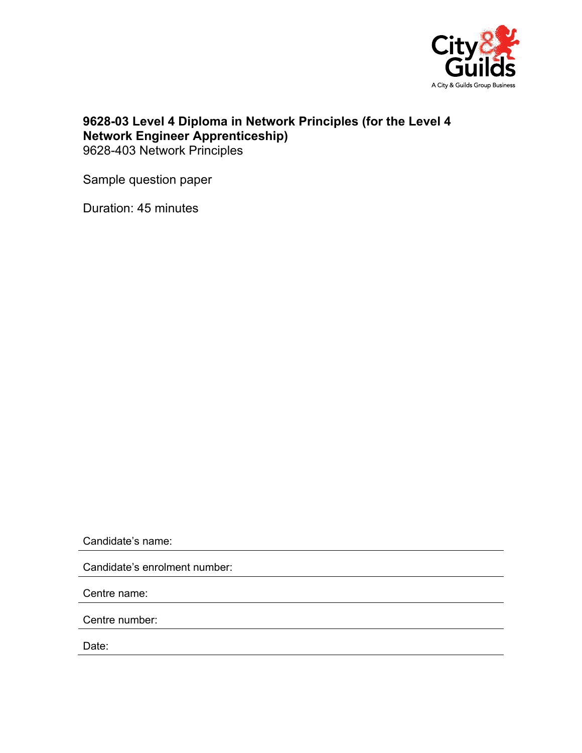

## **9628-03 Level 4 Diploma in Network Principles (for the Level 4 Network Engineer Apprenticeship)**  9628-403 Network Principles

Sample question paper

Duration: 45 minutes

Candidate's name:

Candidate's enrolment number:

Centre name:

Centre number:

Date: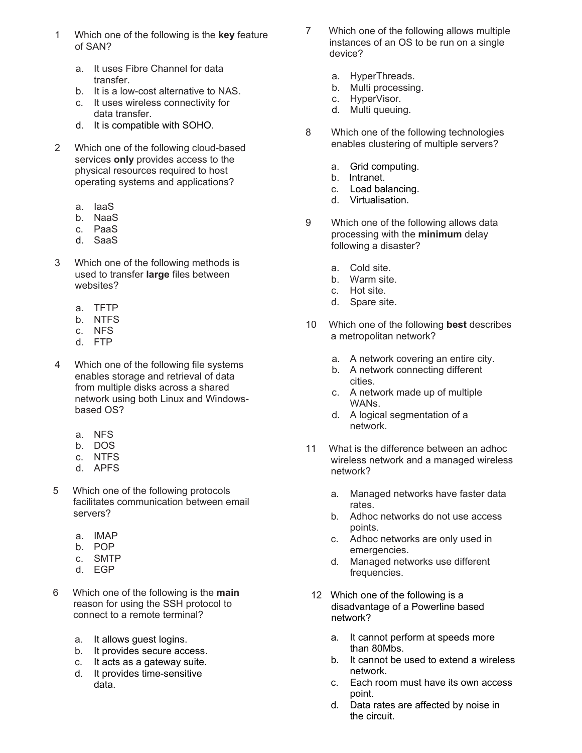- 1 Which one of the following is the **key** feature of SAN?
	- a. It uses Fibre Channel for data transfer.
	- b. It is a low-cost alternative to NAS.
	- c. It uses wireless connectivity for data transfer.
	- d. It is compatible with SOHO.
- 2 Which one of the following cloud-based services **only** provides access to the physical resources required to host operating systems and applications?
	- a. IaaS
	- b. NaaS
	- c. PaaS
	- d. SaaS
- 3 Which one of the following methods is used to transfer **large** files between websites?
	- a. TFTP
	- b. NTFS
	- c. NFS
	- d. FTP
- 4 Which one of the following file systems enables storage and retrieval of data from multiple disks across a shared network using both Linux and Windowsbased OS?
	- a. NFS
	- b. DOS
	- c. NTFS
	- d. APFS
- 5 Which one of the following protocols facilitates communication between email servers?
	- a. IMAP
	- b. POP
	- c. SMTP
	- d. EGP
- 6 Which one of the following is the **main** reason for using the SSH protocol to connect to a remote terminal?
	- a. It allows guest logins.
	- b. It provides secure access.
	- c. It acts as a gateway suite.
	- d. It provides time-sensitive data.
- 7 Which one of the following allows multiple instances of an OS to be run on a single device?
	- a. HyperThreads.
	- b. Multi processing.
	- c. HyperVisor.
	- d. Multi queuing.
- 8 Which one of the following technologies enables clustering of multiple servers?
	- a. Grid computing.
	- b. Intranet.
	- c. Load balancing.
	- d. Virtualisation.
- 9 Which one of the following allows data processing with the **minimum** delay following a disaster?
	- a. Cold site.
	- b. Warm site.
	- c. Hot site.
	- d. Spare site.
- 10 Which one of the following **best** describes a metropolitan network?
	- a. A network covering an entire city.
	- b. A network connecting different cities.
	- c. A network made up of multiple WANs.
	- d. A logical segmentation of a network.
- 11 What is the difference between an adhoc wireless network and a managed wireless network?
	- a. Managed networks have faster data rates.
	- b. Adhoc networks do not use access points.
	- c. Adhoc networks are only used in emergencies.
	- d. Managed networks use different frequencies.
- 12 Which one of the following is a disadvantage of a Powerline based network?
	- a. It cannot perform at speeds more than 80Mbs.
	- b. It cannot be used to extend a wireless network.
	- c. Each room must have its own access point.
	- d. Data rates are affected by noise in the circuit.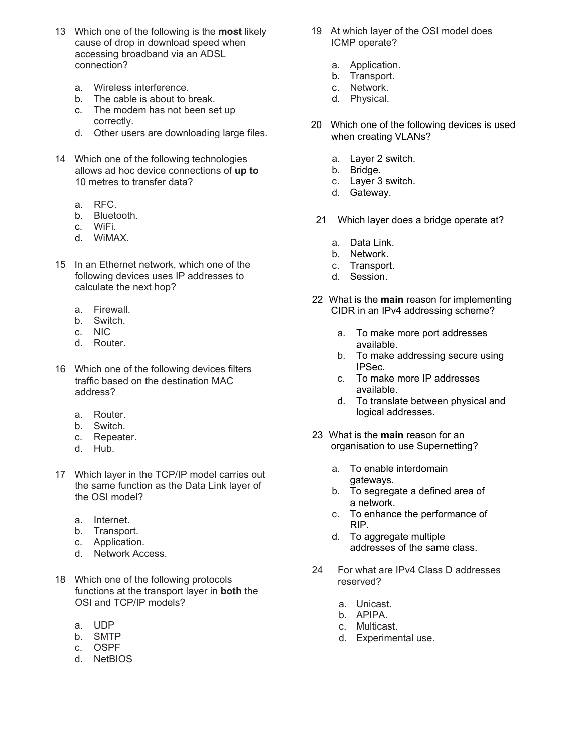- 13 Which one of the following is the **most** likely cause of drop in download speed when accessing broadband via an ADSL connection?
	- a. Wireless interference.
	- b. The cable is about to break.
	- c. The modem has not been set up correctly.
	- d. Other users are downloading large files.
- 14 Which one of the following technologies allows ad hoc device connections of **up to** 10 metres to transfer data?
	- a. RFC.
	- b. Bluetooth.
	- c. WiFi.
	- d. WiMAX.
- 15 In an Ethernet network, which one of the following devices uses IP addresses to calculate the next hop?
	- a. Firewall.
	- b. Switch.
	- c. NIC
	- d. Router.
- 16 Which one of the following devices filters traffic based on the destination MAC address?
	- a. Router.
	- b. Switch.
	- c. Repeater.
	- d. Hub.
- 17 Which layer in the TCP/IP model carries out the same function as the Data Link layer of the OSI model?
	- a. Internet.
	- b. Transport.
	- c. Application.
	- d. Network Access.
- 18 Which one of the following protocols functions at the transport layer in **both** the OSI and TCP/IP models?
	- a. UDP
	- b. SMTP
	- c. OSPF
	- d. NetBIOS
- 19 At which layer of the OSI model does ICMP operate?
	- a. Application.
	- b. Transport.
	- c. Network.
	- d. Physical.
- 20 Which one of the following devices is used when creating VLANs?
	- a. Layer 2 switch.
	- b. Bridge.
	- c. Layer 3 switch.
	- d. Gateway.
- 21 Which layer does a bridge operate at?
	- a. Data Link.
	- b. Network.
	- c. Transport.
	- d. Session.
- 22 What is the **main** reason for implementing CIDR in an IPv4 addressing scheme?
	- a. To make more port addresses available.
	- b. To make addressing secure using IPSec.
	- c. To make more IP addresses available.
	- d. To translate between physical and logical addresses.
- 23 What is the **main** reason for an organisation to use Supernetting?
	- a. To enable interdomain gateways.
	- b. To segregate a defined area of a network.
	- c. To enhance the performance of RIP.
	- d. To aggregate multiple addresses of the same class.
- 24 For what are IPv4 Class D addresses reserved?
	- a. Unicast.
	- b. APIPA.
	- c. Multicast.
	- d. Experimental use.